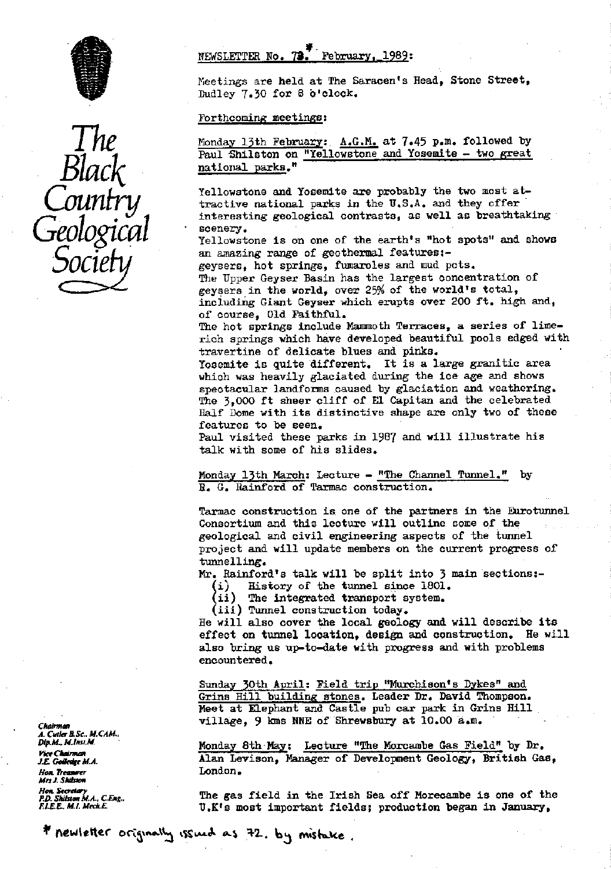

Black Geological scenery.

## NEWSLETTER No.  $73$ . February, 1989:

Meetings are held at The Saracen's Head, Stone Street, Dudley 7.30 for 8 o'clock.

### Forthcoming meetings :

Monday 13th February: **A.G.K.** at 7.45 p.m. followed by Paul Shilston on "Yellowstone and Yosemite - two great national parks."

Yellowstone and Yosemite are probably the two most attractive national parks in the U.S.A. and they offer • interesting geological contrasts, as well as breathtaking ng

> Yellowstone is on one of the earth's "hot spots" and shows an amazing range of geothermal features:-

> geysers, hot springs, fumaroles and mud pots. The Upper Geyser Basin has the largest concentration of geysers in the world, over 25% of the world's total, including Giant Geyser which erupts over 200 ft. high and, of course, Old Faithful.

The hot springs include Mammoth Terraces, a series of limerich springs which have developed beautiful pools edged with travertine of delicate blues and pinks.

Yosemite is quite different. It is a large granitic area which was heavily glaciated during the ice age and shows spectacular landforms caused by glaciation and weathering. The 3,000 ft sheer cliff of El Capitan and the celebrated Half Dome with its distinctive shape are only two of these features to be seen.

Paul visited these parks in 1987 and will illustrate his talk with some of his slides.

Monday 13th March: Lecture - "The Channel Tunnel." by H. G. Rainford of Tarmac construction.

Tarmac construction is one of the partners in the Eurotunnel Consortium and this lecture will outline come of the geological and civil engineering aspects of the tunnel project and will update members on the current progress of tunnelling.

Mr. Rainford's talk will be split into 3 main sections:-

 $(i)$  History of the tunnel since 1801.

(ii) The integrated transport system.

(iii) Tunnel construction today.

He will also cover the local geology and will describe its effect on tunnel location, design and construction. He will also bring us up-to-date with progress and with problems encountered.

Sunday 30th April: Field trip "Murchison's Dykes" and Grins Hill building stones. Leader Dr. David Thompson. Meet at Elephant and Castle pub car park in Grins Hill village, 9 kms NNE of Shrewsbury at 10.00 a.m.

*n<sub>4</sub>xAL. M.INSLN*. (a) The Monday 8th-May: Lecture "The Morcambe Gas Field" by Dr.<br>First Lecture Monday Monday of Dovelanment Coolers Pritish Co rket Marman<br>*J.E. Golledge M.A.* **Alan Levison, Manager of Development Geology, British Gas,**<br>*Hon Treasurer* 

*P.D. SECTEMY A.C. Eng..* The gas field in the Irish Sea off Morecambe is one of the *P.D. Shills and Sea off Morecambe* is one of the *F.D. Shills and Sea off Morecambe* is one of the *F.D. Shills and Sea off the Sea off* U.K's most important fields; production began in January,

**Chairman** A. Cutler B.Sc., M.CAM.,<br>Dip.M., M.Inst.M. floc *7)rsaw*►*er* London. Hon, Secretary<br>P.D. Shilston M.A., C.Eng.,

# \* newletter originally issued as 72. by mistake.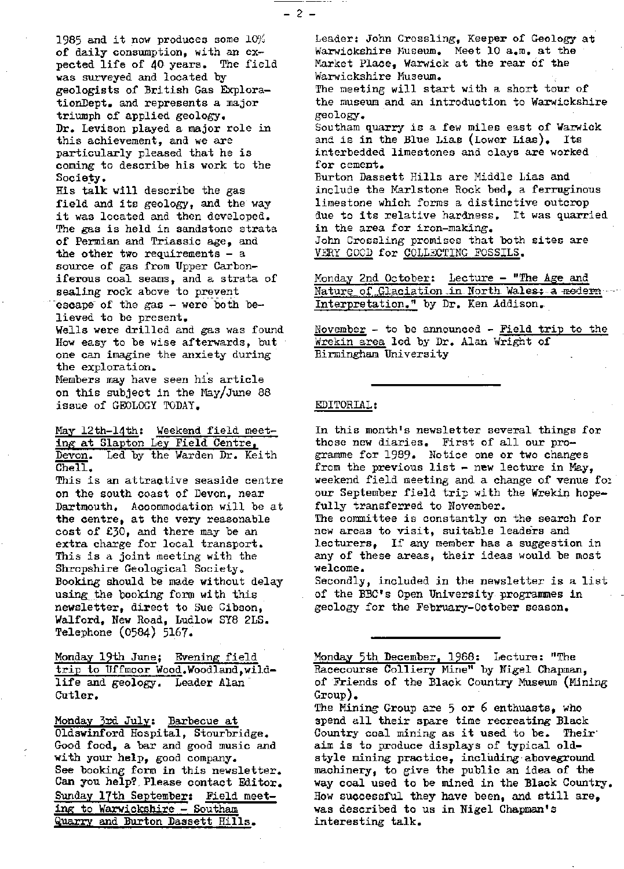1985 and it now produces some 10% of daily consumption, with an expected life of 40 years. The field was surveyed and located by *geologists of British Gas Explora*tionDept. and represents a major triumph of applied geology. Dr. Levison played a major role in this achievement, and we are particularly pleased that he is coming to describe his work to the Society.

His talk will describe the gas field and its geology, and the way it was located and then developed. The gas is held in sandstone strata of Permian and Triassic age, and the other two requirements  $-$  a source of gas from Upper Carboniferous coal seams, and a strata of sealing rock above to prevent escape of the gas  $-$  were both believed to be present, Wells were drilled and gas was found How easy to be wise afterwards, but one can imagine the anxiety during the exploration.

Members may have seen his article on this subject in the May/June 88 issue of GEOLOGY TODAY.

May 12th-14th: Weekend field meeting at Slapton Ley Field Centre, Devon. Led by the Warden Dr. Keith  $Che11.$ 

This is an *attractive seaside centre* on the south coast of Devon, near Dartmouth. Accommodation will be at the centre, at the very reasonable cost of 130, and *there* may be an extra charge for local transport. This is a joint meeting with the Shropshire Geological Society. Booking should be made without delay using the booking form with this newsletter, direct to Sue Gibson, Walford, New Road, Ludlow SY8 2LS. Telephone (0584) 5167.

Monday 19th June: Evening field trip to Uffmoor Wood.Woodland, wild*life and geology. Leader Alan Cutler.*

Monday 3rd July: Barbecue at Oldswinford Hospital, Stourbridge. Good food, a bar and good music and with your help, good company. See booking form in this newsletter. Can you help?, Please contact Editor. Sunday 17th September: Field meeting to Warwickshire - Southam Quarry and Burton Dassett Hills.

Leader: John Crossling, Keeper of Geology at Warwickshire Museum. Meet 10 a.m. at the Market Place, Warwick at the rear of the Warwickshire Museum. The meeting will start with a short tour of the museum and an introduction to Warwickshire geology. Southam quarry is a few miles east of Warwick<br>and is in the Blue Lias (Lower Lias). Its and is in the Blue Lias (Lower Lias). interbedded limestones and clays are worked for cement. Burton Dassett Hills are Middle Lias and include the Marlstone Rock bed, a ferruginous limestone which forms a distinctive outcrop due to its relative hardness. It was quarried in the area for iron-making. John Crossling promises that both sites are VERY GOOD for COLLECTING FOSSILS.

Monday 2nd October: Lecture - "The Age and Nature of Glaciation in North-Wales: a modern Interpretation." by Dr. Ken Addison..

November - to be announced - Field trip to the Wrekin area led by Dr. Alan Wright of Birmingham University

#### EDITORIAL:

In this month's newsletter several things for those new diaries. First of all our pro- gramme for 1989. Notice one or two changes from the previous list - new lecture in May, weekend field meeting and a change of venue fo: our September field trip with the Wrekin hopefully transferred to November. The committee is constantly on the search for new areas to visit, suitable leaders and lecturers, If any member has a suggestion in any of these areas, their ideas would be most welcome. Secondly, included in the newsletter is a list of the BBC's Open University programmes in geology for the February-October season.

Monday 5th December, 1968: Lecture: "The Racecourse Colliery Mine" by Nigel Chapman, of Friends of the Black Country Museum (Mining Group).

The Yining Group are 5 or 6 enthuasts, who spend all their spare time recreating Black Country coal mining as it used to be. Their, aim is to produce displays of typical oldstyle mining practice, including aboveground machinery, to give the public an idea of the way coal used to be mined in the Black Country. How successful they have been, and still are, was described to us in Nigel Chapman's interesting talk.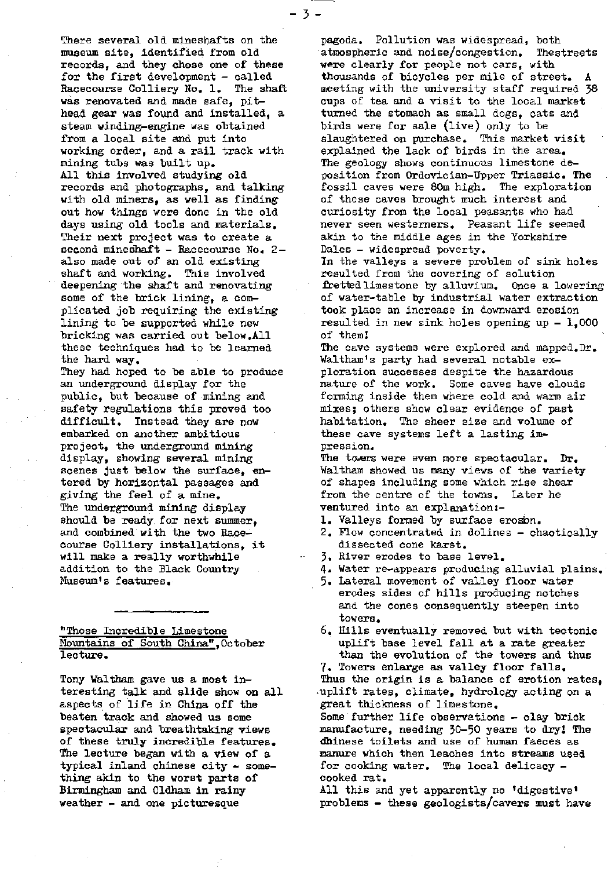There several old mineshafts on the museum site, identified from old records, and they chose one of these for the first development - called Racecourse Colliery No. 1. The shaft was renovated and made safe, pithead gear was found and installed, a steam winding-engine was obtained from a local site and put into working order, and a rail track with mining tubs was built up. All this involved studying old records and photographs, and talking with old miners, as well as finding out how things were done in the old days using old tools and materials. Their next project was to create a second mineshaft - Racecourse No. 2also made out of an old existing shaft and working. This involved deepening the shaft and renovating some of the brick lining, a complicated job requiring the existing lining to be supported while new bricking was carried out below.All these techniques had to be learned the hard way, They had hoped to be able to produce an underground display for the public, but because of mining and safety regulations this proved too difficult. Instead they are now embarked on another ambitious project, the underground mining display, showing several mining scenes Just below the surface, entered by horizontal passages and giving the feel of a mine. The underground mining display

-3-

should be ready, for next summer, and combined with the two Racecourse Colliery installations, it will make a really worthwhile addition to the Black Country Museum's features.

#### "Those Incredible Limestone Mountains of South China", October lecture.

Tony Waltham gave us a most interesting talk and slide show on all aspects of life in China off the beaten track and showed us some spectacular and breathtaking views of these truly incredible features, The lecture began with a view of a  $typical$  inland chinese city  $-$  something akin to the worst parts of Birmingham and Oldham in rainy weather - and one picturesque

pagoda. Pollution was widespread, both atmospheric and noise/congestion. The streets were clearly for people not cars, with thousands of bicycles per mile of street. A meeting with the university staff required 38 cups of tea and a visit to the local market turned the stomach as small dogs, cats and birds were for sale (live) only to be slaughtered on purchase. This market visit explained the lack of birds in the area. The geology shows continuous limestone deposition from Ordovician-Upper Triassic. The fossil caves were 80m high. The exploration of these caves brought much interest and curiosity from the local peasants who had never seen westerners. Peasant life seemed akin to the middle ages in the Yorkshire Dales - widespread poverty. In the valleys a severe problem of sink holes resulted from the covering of solution fretted limestone by alluvium. Once a lowering of water-table by industrial water extraction took place an increase in downward erosion resulted in new sink holes opening  $up - 1,000$ of them The cave systems were explored and mapped.Dr. Waltham's party had several notable exploration successes despite the hazardous nature of the work. Some caves have clouds forming inside them where cold and warm air mixes; others show clear evidence of past habitation. The sheer size and volume of these cave systems left a lasting impression. The towers were even more spectacular. Dr. Waltham showed us many views of the variety of shapes including some which rise shear from the centre of the towns. Later he ventured into an explanation:- 1. Valleys formed by surface erosion. 2. Flow concentrated in dolines - chaotically dissected cone karat. 3. River erodes to base level. 4. Water re-appears producing alluvial plains. 5. Lateral movement of valley floor water

erodes sides of hills producing notches and the cones consequently steepen into towers.

6. Hills eventually removed but with tectonic uplift base level fall at a rate greater than the evolution of the towers and thus

7. Towers enlarge as valley floor falls. Thus the origin is a balance of erotion rates, uplift rates, climate, hydrology acting on a great thickness of limestone. Some further life observations - clay brick manufacture, needing 30-50 years to dry: The dhinese toilets and use of human faeces as manure which then leaches into streams used for cooking water. The local delicacy cooked rat.

All this and yet apparently no 'digestive' problems - these geologists/cavers must have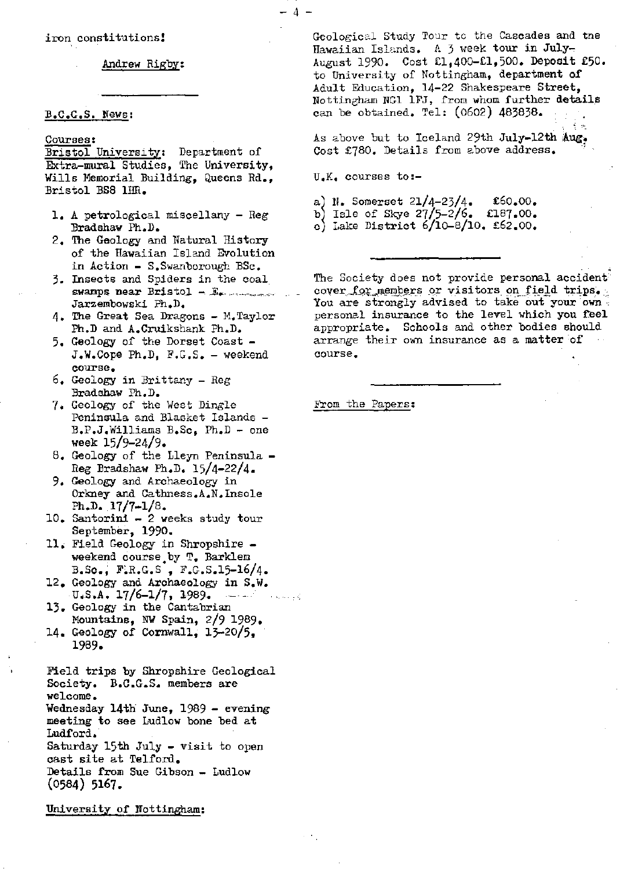iron constitutions!

Andrew Rigby:

### E.C.G.S. News [:](news:)

#### Courses :

Bristol University: Department of Extra-mural Studies, The University, Wills Memorial Building, Queens Rd., Bristol BS8 1HR.

- 1. A petrological miscellany Reg Bradshaw Ph.D.
- 2, The Geology and Natural History of the Hawaiian Island Evolution in Action - S.Swanborough BSc.
- 3. Insects and Spiders in the coal. swamps near Bristol -- $E_{\text{z}}$ Jarzembowski Ph.D.
- 4. The Great Sea Dragons M.Taylor Ph.D and A.Cruikshank Ph.D.
- 5, Geology of the Dorset Coast J.W.Cope Ph.D, F.G.S. - weekend course,
- 6. Geology in Brittany Reg Bradshaw Ph.D.
- 7. Geology of the West Dingle Peninsula and Blasket Islands - B.P.J.Williams B.Sc, Ph.D - one week 15/9-24/9•
- 8. Geology of the Lleyn Peninsula Reg Bradshaw Ph.D. 15/4-22/4.
- 9. Geology and Archaeology in Orkney and Cathness.A.N. Insole Ph.D.  $17/7 - 1/8$ .
- 10. Santorini 2 weeks study tour September, 1990.
- 11, Field Geology in Shropshire weekend course by T. Barklem B.So., FiR.G.S , F.G.S.15-16/4.
- 12. Geology and Archaeology in S.W.  $U.S.A. 17/6-1/7, 1989.$  -
- 13. Geology in the Cantabrian Mountains, NW Spain, 2/9 1989.
- 14. Geology of Cornwall,  $13-20/5$ , 1989.

Field trips by Shropshire Geological Society. B.C.G.S. members are welcome. Wednesday 14th June, 1989 - evening meeting to see Ludlow bone bed at Ludford,' Saturday 15th July - visit to open cast site at Telford. Details from Sue Gibson - Ludlow (0584) 5167.

University of Nottingham:

Geological Study Tour to the Cascades and the Hawaiian Islands. A j week tour in July-August 1990. Cost €1,400-€1,500. Deposit €50. to University of Nottingham, department of Adult Education, 14-22 Shakespeare Street, Nottingham NGl 1FJ, from whom further details can be obtained. Tel: (0602) 483838. -

As above but to Iceland 29th July-12th Aug. Cost £780. Details from above address.

TJ.K. courses to:-

-4-

a) N. Somerset  $21/4-23/4$ . £60.00. b) Isle of Skye  $27/5-2/6$ . £187.00. c) Lake District  $6/10-8/10$ , £62.00.

The Society does not provide personal accident cover for members or visitors on field trips. You are strongly advised to take out your own personal insurance to the level which you feel appropriate. Schools and other bodies should arrange their own insurance as a matter of course,

From the Papers :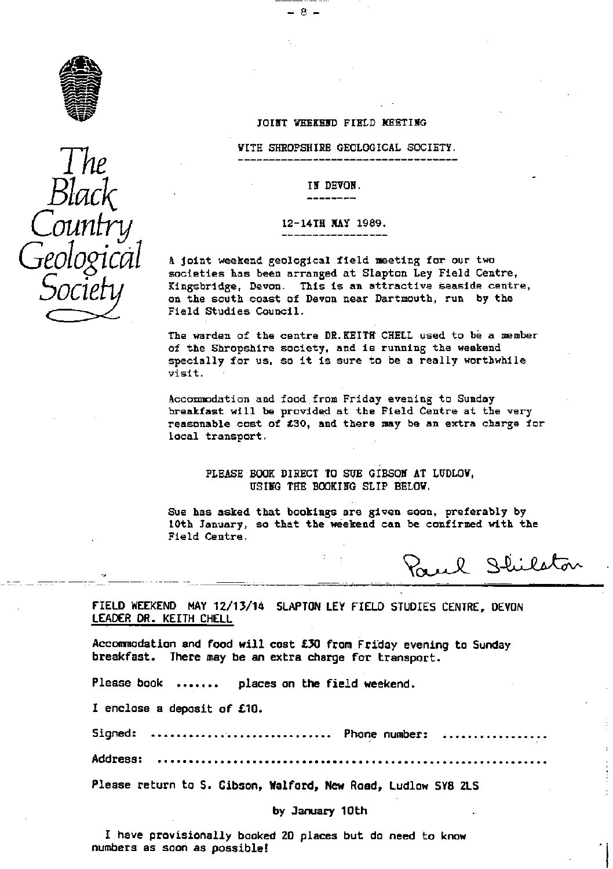



#### JOINT WEEKEND FIELD **NEETING**

- 8 -

WITH **SHROPSHIR\$** GEOLOGICAL SOCIETY.

A joint weekend geological field meeting for our two societies has been arranged at Slapton Ley Field Centre, Kingsbridge, Devon. This **is** an attractive seaside centre, **L! G** on the south coast of Devon near Dartmouth, run by the Field Studies Council.

The warden of the centre DR.KEITH CHELL used to be a member of the Shropshire society, and **is** running the weekend specially for us, so it **is** sure to be a really worthwhile visit.

Accommodation and food from Friday evening to Sunday breakfast will be provided at the Field Centre at the very reasonable cost of t30, and there may be an extra charge for local transport.

PLEASE BOOK DIRECT TO SUE GIBSON AT LUDLOW, USING THE BOOKING SLIP BELOW.

Sue has asked that bookings are given soon, preferably by 10th January, so that the weekend can be confirmed with the Field Centre.

Paul Shilston

**FIELD WEEKEND MAY 12/13/14 SLAPTON LEY FIELD STUDIES CENTRE, DEVON** LEADER DR. KEITH CHELL

Accommodation and food **will** cost £30 from Friday evening to Sunday breakfast. There may be an extra charge for transport.

Please book ....... places on the field weekend.

I enclose a deposit of £10.

Signed: ................................. Phone number:

**Address:** ..............................................................

Please return to S. Gibson, Walford, New Road, Ludlow SY8 2LS

#### **by January 10th**

**I have provisionally** booked 20 places but do need to know **numbers as soon as possible!**